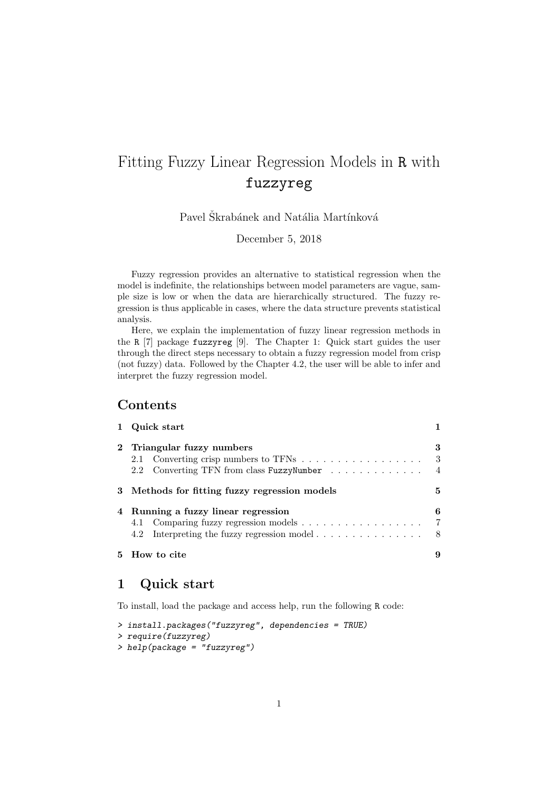# Fitting Fuzzy Linear Regression Models in R with fuzzyreg

Pavel Škrabánek and Natália Martínková

December 5, 2018

Fuzzy regression provides an alternative to statistical regression when the model is indefinite, the relationships between model parameters are vague, sample size is low or when the data are hierarchically structured. The fuzzy regression is thus applicable in cases, where the data structure prevents statistical analysis.

Here, we explain the implementation of fuzzy linear regression methods in the R [7] package fuzzyreg [9]. The Chapter 1: Quick start guides the user through the direct steps necessary to obtain a fuzzy regression model from crisp (not fuzzy) data. Followed by the Chapter 4.2, the user will be able to infer and interpret the fuzzy regression model.

# Contents

| 1 Quick start                                                                         |                            |  |  |  |  |
|---------------------------------------------------------------------------------------|----------------------------|--|--|--|--|
| 2 Triangular fuzzy numbers<br>Converting TFN from class FuzzyNumber<br>2.2            | 3<br>3<br>$\overline{4}$   |  |  |  |  |
| 5<br>3 Methods for fitting fuzzy regression models                                    |                            |  |  |  |  |
| 4 Running a fuzzy linear regression<br>Interpreting the fuzzy regression model<br>4.2 | 6<br>$\overline{7}$<br>- 8 |  |  |  |  |
| 5 How to cite                                                                         | 9                          |  |  |  |  |

# 1 Quick start

To install, load the package and access help, run the following R code:

```
> install.packages("fuzzyreg", dependencies = TRUE)
> require(fuzzyreg)
> help(package = "fuzzyreg")
```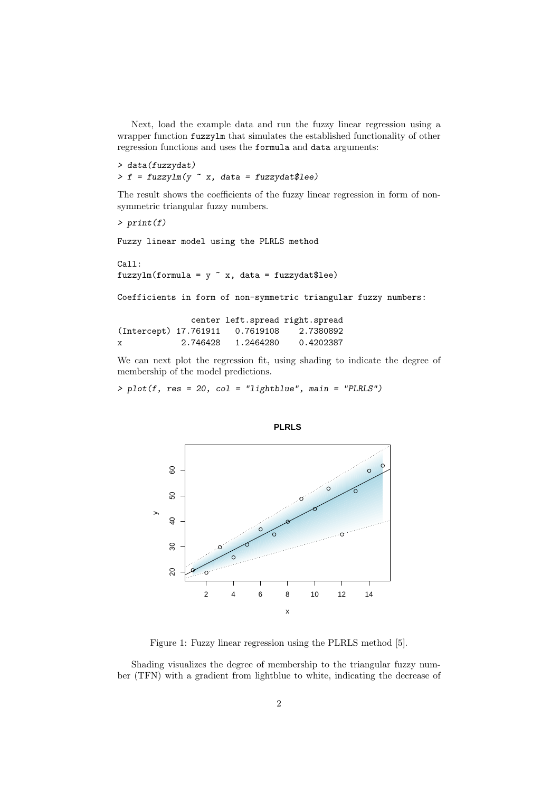Next, load the example data and run the fuzzy linear regression using a wrapper function fuzzylm that simulates the established functionality of other regression functions and uses the formula and data arguments:

> data(fuzzydat)  $> f = fuzzylm(y \text{ x}, data = fuzzydata)$ 

The result shows the coefficients of the fuzzy linear regression in form of nonsymmetric triangular fuzzy numbers.

```
> print(f)
```
Fuzzy linear model using the PLRLS method

Call: fuzzylm(formula =  $y$   $x$ , data = fuzzydat\$lee)

Coefficients in form of non-symmetric triangular fuzzy numbers:

|                       |          |           | center left.spread right.spread |
|-----------------------|----------|-----------|---------------------------------|
| (Intercept) 17.761911 |          | 0.7619108 | 2.7380892                       |
| х                     | 2.746428 | 1.2464280 | 0.4202387                       |

We can next plot the regression fit, using shading to indicate the degree of membership of the model predictions.

 $> plot(f, res = 20, col = "lightblue", main = "PLRLS")$ 



**PLRLS**

Figure 1: Fuzzy linear regression using the PLRLS method [5].

Shading visualizes the degree of membership to the triangular fuzzy number (TFN) with a gradient from lightblue to white, indicating the decrease of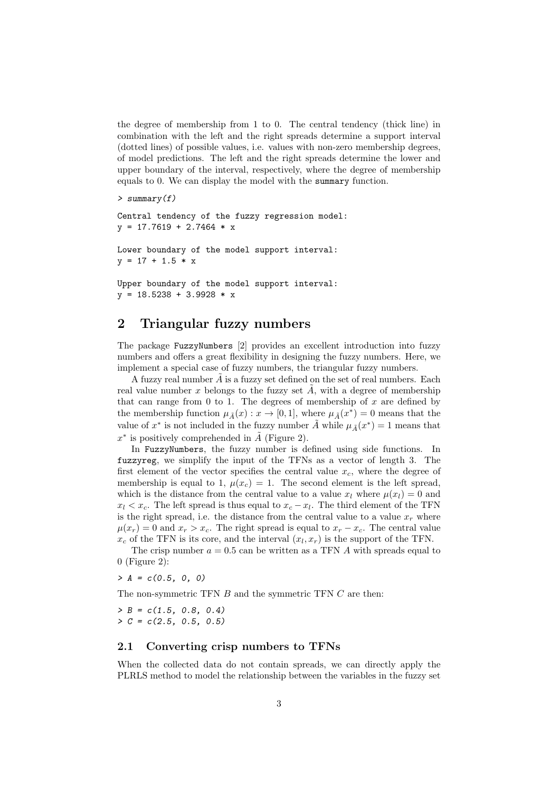the degree of membership from 1 to 0. The central tendency (thick line) in combination with the left and the right spreads determine a support interval (dotted lines) of possible values, i.e. values with non-zero membership degrees, of model predictions. The left and the right spreads determine the lower and upper boundary of the interval, respectively, where the degree of membership equals to 0. We can display the model with the summary function.

```
> summary(f)
```
Central tendency of the fuzzy regression model:  $y = 17.7619 + 2.7464 * x$ 

Lower boundary of the model support interval:  $y = 17 + 1.5 * x$ 

Upper boundary of the model support interval:  $y = 18.5238 + 3.9928 * x$ 

# 2 Triangular fuzzy numbers

The package FuzzyNumbers [2] provides an excellent introduction into fuzzy numbers and offers a great flexibility in designing the fuzzy numbers. Here, we implement a special case of fuzzy numbers, the triangular fuzzy numbers.

A fuzzy real number  $A$  is a fuzzy set defined on the set of real numbers. Each real value number x belongs to the fuzzy set A, with a degree of membership that can range from  $0$  to 1. The degrees of membership of  $x$  are defined by the membership function  $\mu_{\tilde{A}}(x) : x \to [0,1]$ , where  $\mu_{\tilde{A}}(x^*) = 0$  means that the value of  $x^*$  is not included in the fuzzy number  $\tilde{A}$  while  $\mu_{\tilde{A}}(x^*)=1$  means that  $x^*$  is positively comprehended in  $\tilde{A}$  (Figure 2).

In FuzzyNumbers, the fuzzy number is defined using side functions. In fuzzyreg, we simplify the input of the TFNs as a vector of length 3. The first element of the vector specifies the central value  $x_c$ , where the degree of membership is equal to 1,  $\mu(x_c) = 1$ . The second element is the left spread, which is the distance from the central value to a value  $x_l$  where  $\mu(x_l) = 0$  and  $x_l < x_c$ . The left spread is thus equal to  $x_c - x_l$ . The third element of the TFN is the right spread, i.e. the distance from the central value to a value  $x_r$  where  $\mu(x_r) = 0$  and  $x_r > x_c$ . The right spread is equal to  $x_r - x_c$ . The central value  $x_c$  of the TFN is its core, and the interval  $(x_l, x_r)$  is the support of the TFN.

The crisp number  $a = 0.5$  can be written as a TFN A with spreads equal to 0 (Figure 2):

 $> A = c(0.5, 0, 0)$ 

The non-symmetric TFN B and the symmetric TFN C are then:

 $> B = c(1.5, 0.8, 0.4)$  $> C = c(2.5, 0.5, 0.5)$ 

#### 2.1 Converting crisp numbers to TFNs

When the collected data do not contain spreads, we can directly apply the PLRLS method to model the relationship between the variables in the fuzzy set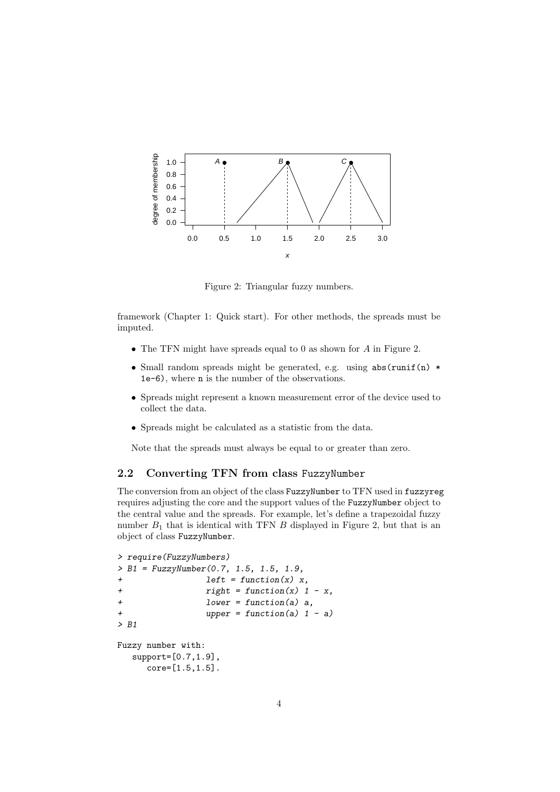

Figure 2: Triangular fuzzy numbers.

framework (Chapter 1: Quick start). For other methods, the spreads must be imputed.

- The TFN might have spreads equal to 0 as shown for A in Figure 2.
- Small random spreads might be generated, e.g. using abs(runif(n)  $*$ 1e-6), where n is the number of the observations.
- Spreads might represent a known measurement error of the device used to collect the data.
- Spreads might be calculated as a statistic from the data.

Note that the spreads must always be equal to or greater than zero.

#### 2.2 Converting TFN from class FuzzyNumber

The conversion from an object of the class FuzzyNumber to TFN used in fuzzyreg requires adjusting the core and the support values of the FuzzyNumber object to the central value and the spreads. For example, let's define a trapezoidal fuzzy number  $B_1$  that is identical with TFN  $B$  displayed in Figure 2, but that is an object of class FuzzyNumber.

```
> require(FuzzyNumbers)
> B1 = FuzzyNumber(0.7, 1.5, 1.5, 1.9,
+ left = function(x) x,
+ right = function(x) 1 - x,
+ lower = function(a) a,
+ upper = function(a) 1 - a)
> B1
Fuzzy number with:
  support=[0.7,1.9],
    core=[1.5,1.5].
```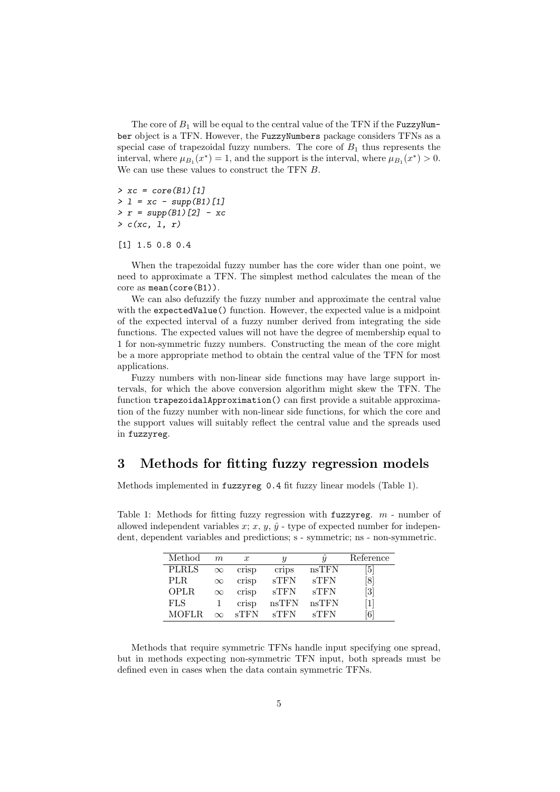The core of  $B_1$  will be equal to the central value of the TFN if the FuzzyNumber object is a TFN. However, the FuzzyNumbers package considers TFNs as a special case of trapezoidal fuzzy numbers. The core of  $B_1$  thus represents the interval, where  $\mu_{B_1}(x^*) = 1$ , and the support is the interval, where  $\mu_{B_1}(x^*) > 0$ . We can use these values to construct the TFN B.

 $> xc = core(B1)[1]$  $> 1 = xc - supp(B1)[1]$  $> r = supp(B1)[2] - xc$  $> c(xc, 1, r)$ 

[1] 1.5 0.8 0.4

When the trapezoidal fuzzy number has the core wider than one point, we need to approximate a TFN. The simplest method calculates the mean of the core as mean(core(B1)).

We can also defuzzify the fuzzy number and approximate the central value with the expectedValue() function. However, the expected value is a midpoint of the expected interval of a fuzzy number derived from integrating the side functions. The expected values will not have the degree of membership equal to 1 for non-symmetric fuzzy numbers. Constructing the mean of the core might be a more appropriate method to obtain the central value of the TFN for most applications.

Fuzzy numbers with non-linear side functions may have large support intervals, for which the above conversion algorithm might skew the TFN. The function trapezoidalApproximation() can first provide a suitable approximation of the fuzzy number with non-linear side functions, for which the core and the support values will suitably reflect the central value and the spreads used in fuzzyreg.

# 3 Methods for fitting fuzzy regression models

Methods implemented in fuzzyreg 0.4 fit fuzzy linear models (Table 1).

| Method       | m        | $\boldsymbol{x}$ |                 |         | Reference        |
|--------------|----------|------------------|-----------------|---------|------------------|
| <b>PLRLS</b> | $\infty$ | crisp            | crips           | nsTFN   | 5                |
| PLR.         | $\infty$ | crisp            | $\mathrm{sTFN}$ | sTFN    | $\left 8\right>$ |
| OPLR         | $\infty$ | crisp            | $\mathrm{sTFN}$ | sTFN    | $\vert 3 \vert$  |
| <b>FLS</b>   |          | crisp            | nsTFN           | nsTFN   |                  |
| MOFLR        |          | $c$ TFN          |                 | $c$ TFN | 6                |

Table 1: Methods for fitting fuzzy regression with **fuzzyreg.**  $m$  - number of allowed independent variables x; x, y,  $\hat{y}$  - type of expected number for independent, dependent variables and predictions; s - symmetric; ns - non-symmetric.

Methods that require symmetric TFNs handle input specifying one spread, but in methods expecting non-symmetric TFN input, both spreads must be defined even in cases when the data contain symmetric TFNs.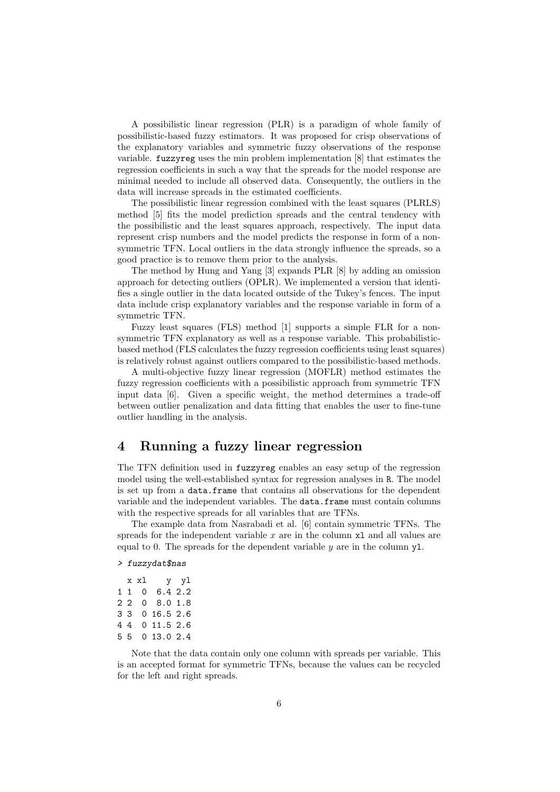A possibilistic linear regression (PLR) is a paradigm of whole family of possibilistic-based fuzzy estimators. It was proposed for crisp observations of the explanatory variables and symmetric fuzzy observations of the response variable. fuzzyreg uses the min problem implementation [8] that estimates the regression coefficients in such a way that the spreads for the model response are minimal needed to include all observed data. Consequently, the outliers in the data will increase spreads in the estimated coefficients.

The possibilistic linear regression combined with the least squares (PLRLS) method [5] fits the model prediction spreads and the central tendency with the possibilistic and the least squares approach, respectively. The input data represent crisp numbers and the model predicts the response in form of a nonsymmetric TFN. Local outliers in the data strongly influence the spreads, so a good practice is to remove them prior to the analysis.

The method by Hung and Yang [3] expands PLR [8] by adding an omission approach for detecting outliers (OPLR). We implemented a version that identifies a single outlier in the data located outside of the Tukey's fences. The input data include crisp explanatory variables and the response variable in form of a symmetric TFN.

Fuzzy least squares (FLS) method [1] supports a simple FLR for a nonsymmetric TFN explanatory as well as a response variable. This probabilisticbased method (FLS calculates the fuzzy regression coefficients using least squares) is relatively robust against outliers compared to the possibilistic-based methods.

A multi-objective fuzzy linear regression (MOFLR) method estimates the fuzzy regression coefficients with a possibilistic approach from symmetric TFN input data [6]. Given a specific weight, the method determines a trade-off between outlier penalization and data fitting that enables the user to fine-tune outlier handling in the analysis.

### 4 Running a fuzzy linear regression

The TFN definition used in fuzzyreg enables an easy setup of the regression model using the well-established syntax for regression analyses in R. The model is set up from a data.frame that contains all observations for the dependent variable and the independent variables. The data.frame must contain columns with the respective spreads for all variables that are TFNs.

The example data from Nasrabadi et al. [6] contain symmetric TFNs. The spreads for the independent variable  $x$  are in the column  $x1$  and all values are equal to 0. The spreads for the dependent variable  $y$  are in the column  $y_1$ .

#### > fuzzydat\$nas

|  | x xl | y yl           |  |
|--|------|----------------|--|
|  | 110  | 6.42.2         |  |
|  |      | 2 2 0 8.0 1.8  |  |
|  |      | 3 3 0 16.5 2.6 |  |
|  |      | 4 4 0 11.5 2.6 |  |
|  |      | 5 5 0 13.0 2.4 |  |
|  |      |                |  |

Note that the data contain only one column with spreads per variable. This is an accepted format for symmetric TFNs, because the values can be recycled for the left and right spreads.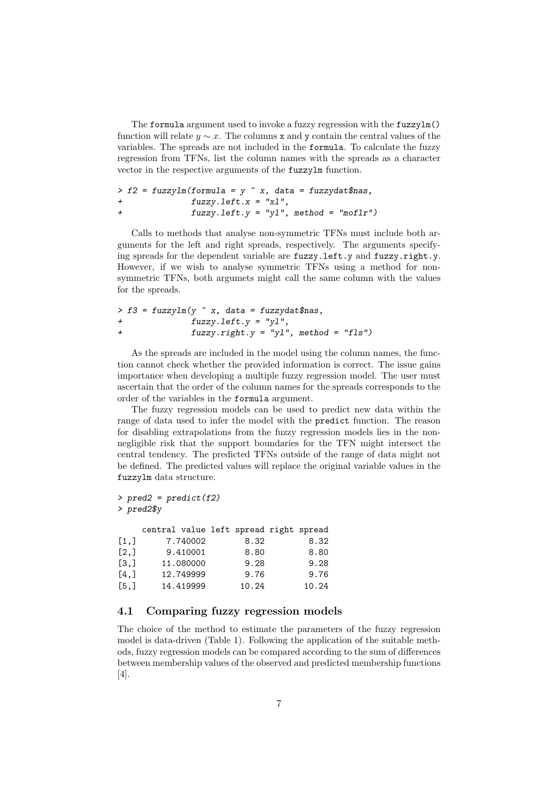The formula argument used to invoke a fuzzy regression with the fuzzylm() function will relate  $y \sim x$ . The columns x and y contain the central values of the variables. The spreads are not included in the formula. To calculate the fuzzy regression from TFNs, list the column names with the spreads as a character vector in the respective arguments of the fuzzylm function.

```
> f2 = fuzzyIm(formal) = y \times x, data = fuzzydat$nas,
+ fuzzy.left.x = "xl",
+ fuzzy.left.y = "yl", method = "moflr")
```
Calls to methods that analyse non-symmetric TFNs must include both arguments for the left and right spreads, respectively. The arguments specifying spreads for the dependent variable are fuzzy.left.y and fuzzy.right.y. However, if we wish to analyse symmetric TFNs using a method for nonsymmetric TFNs, both argumets might call the same column with the values for the spreads.

```
> f3 = fuzzylm(y \tilde{a} x, data = fuzzydat$nas,
+ fuzzy.left.y = "yl",
+ fuzzy.right.y = "yl", method = "fls")
```
As the spreads are included in the model using the column names, the function cannot check whether the provided information is correct. The issue gains importance when developing a multiple fuzzy regression model. The user must ascertain that the order of the column names for the spreads corresponds to the order of the variables in the formula argument.

The fuzzy regression models can be used to predict new data within the range of data used to infer the model with the predict function. The reason for disabling extrapolations from the fuzzy regression models lies in the nonnegligible risk that the support boundaries for the TFN might intersect the central tendency. The predicted TFNs outside of the range of data might not be defined. The predicted values will replace the original variable values in the fuzzylm data structure.

```
> pred2 = predict(f2)> pred2$y
   central value left spread right spread
[1,] 7.740002 8.32 8.32
[2,] 9.410001 8.80 8.80
[3,] 11.080000 9.28 9.28
[4,] 12.749999 9.76 9.76
[5,] 14.419999 10.24 10.24
```
#### 4.1 Comparing fuzzy regression models

The choice of the method to estimate the parameters of the fuzzy regression model is data-driven (Table 1). Following the application of the suitable methods, fuzzy regression models can be compared according to the sum of differences between membership values of the observed and predicted membership functions [4].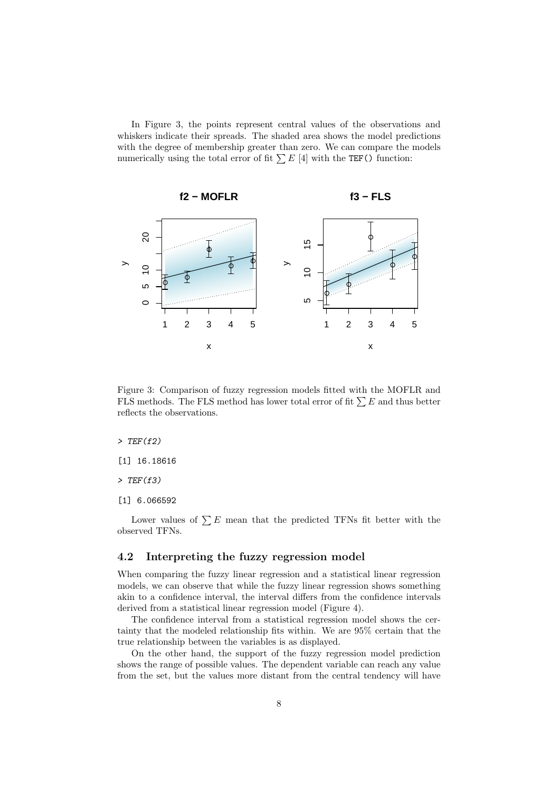In Figure 3, the points represent central values of the observations and whiskers indicate their spreads. The shaded area shows the model predictions with the degree of membership greater than zero. We can compare the models numerically using the total error of fit  $\sum E$  [4] with the TEF() function:



Figure 3: Comparison of fuzzy regression models fitted with the MOFLR and FLS methods. The FLS method has lower total error of fit  $\sum E$  and thus better reflects the observations.

 $>$  TEF(f2)

[1] 16.18616

 $>$  TEF(f3)

[1] 6.066592

Lower values of  $\sum E$  mean that the predicted TFNs fit better with the observed TFNs.

#### 4.2 Interpreting the fuzzy regression model

When comparing the fuzzy linear regression and a statistical linear regression models, we can observe that while the fuzzy linear regression shows something akin to a confidence interval, the interval differs from the confidence intervals derived from a statistical linear regression model (Figure 4).

The confidence interval from a statistical regression model shows the certainty that the modeled relationship fits within. We are 95% certain that the true relationship between the variables is as displayed.

On the other hand, the support of the fuzzy regression model prediction shows the range of possible values. The dependent variable can reach any value from the set, but the values more distant from the central tendency will have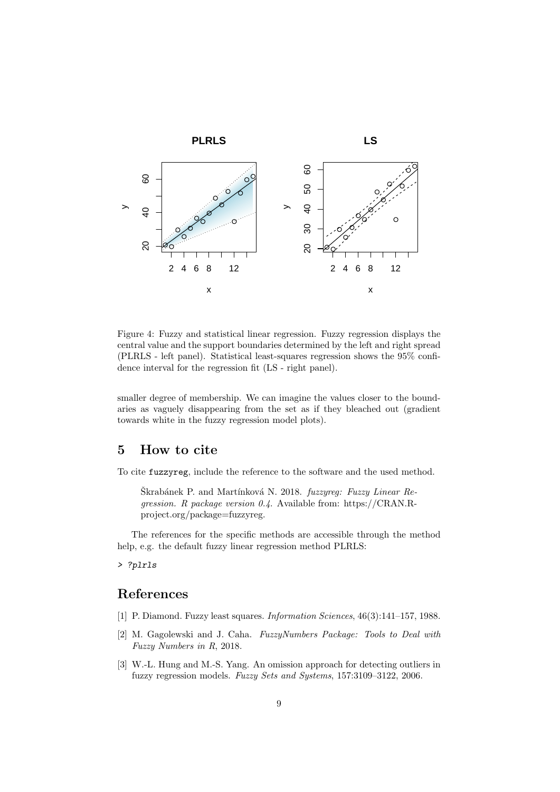

Figure 4: Fuzzy and statistical linear regression. Fuzzy regression displays the central value and the support boundaries determined by the left and right spread (PLRLS - left panel). Statistical least-squares regression shows the 95% confidence interval for the regression fit (LS - right panel).

smaller degree of membership. We can imagine the values closer to the boundaries as vaguely disappearing from the set as if they bleached out (gradient towards white in the fuzzy regression model plots).

# 5 How to cite

To cite fuzzyreg, include the reference to the software and the used method.

Škrabánek P. and Martínková N. 2018.  $fuzzyergr$ : Fuzzy Linear Regression. R package version 0.4. Available from: https://CRAN.Rproject.org/package=fuzzyreg.

The references for the specific methods are accessible through the method help, e.g. the default fuzzy linear regression method PLRLS:

> ?plrls

# References

- [1] P. Diamond. Fuzzy least squares. Information Sciences, 46(3):141–157, 1988.
- [2] M. Gagolewski and J. Caha. FuzzyNumbers Package: Tools to Deal with Fuzzy Numbers in R, 2018.
- [3] W.-L. Hung and M.-S. Yang. An omission approach for detecting outliers in fuzzy regression models. Fuzzy Sets and Systems, 157:3109–3122, 2006.